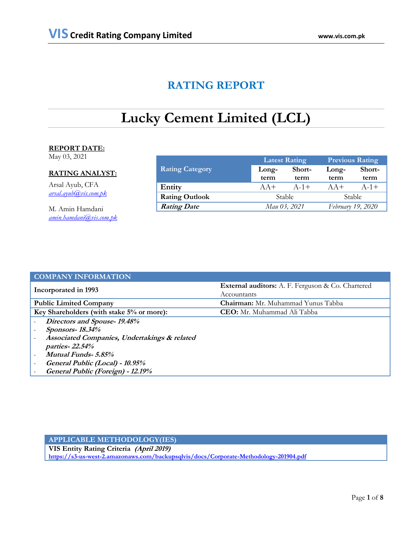## **RATING REPORT**

# **Lucky Cement Limited (LCL)**

## **REPORT DATE:**

May 03, 2021

## **RATING ANALYST:**

Arsal Ayub, CFA *[arsal.ayub@vis.com.pk](mailto:arsal.ayub@vis.com.pk)*

M. Amin Hamdani *[amin.hamdani@vis.com.pk](mailto:amin.hamdani@vis.com.pk)*

|                        |               | <b>Latest Rating</b> | <b>Previous Rating</b> |                   |
|------------------------|---------------|----------------------|------------------------|-------------------|
| <b>Rating Category</b> | Long-         | Short-               | Long-                  | Short-            |
|                        | term          | term                 | term                   | term              |
| Entity                 | $AA+$         | $A - 1 +$            | $AA+$                  | $A - 1 +$         |
| <b>Rating Outlook</b>  | <b>Stable</b> |                      |                        | <b>Stable</b>     |
| <b>Rating Date</b>     | Mau 03, 2021  |                      |                        | February 19, 2020 |

| <b>COMPANY INFORMATION</b>                   |                                                                  |
|----------------------------------------------|------------------------------------------------------------------|
| Incorporated in 1993                         | External auditors: A. F. Ferguson & Co. Chartered<br>Accountants |
| <b>Public Limited Company</b>                | <b>Chairman:</b> Mr. Muhammad Yunus Tabba                        |
| Key Shareholders (with stake 5% or more):    | <b>CEO:</b> Mr. Muhammad Ali Tabba                               |
| Directors and Spouse-19.48%                  |                                                                  |
| <b>Sponsors-18.34%</b>                       |                                                                  |
| Associated Companies, Undertakings & related |                                                                  |
| <i>parties-22.54%</i>                        |                                                                  |
| <b>Mutual Funds-5.85%</b>                    |                                                                  |
| General Public (Local) - 10.95%              |                                                                  |
| General Public (Foreign) - 12.19%            |                                                                  |

## **APPLICABLE METHODOLOGY(IES)**

**VIS Entity Rating Criteria (April 2019) <https://s3-us-west-2.amazonaws.com/backupsqlvis/docs/Corporate-Methodology-201904.pdf>**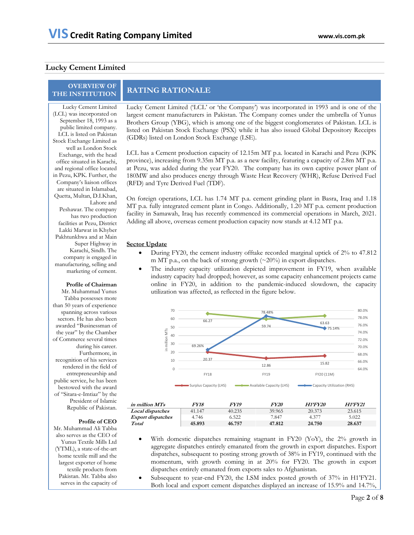### **Lucky Cement Limited**

## **OVERVIEW OF**

Lucky Cement Limited (LCL) was incorporated on September 18, 1993 as a public limited company. LCL is listed on Pakistan Stock Exchange Limited as well as London Stock Exchange, with the head office situated in Karachi, and regional office located in Pezu, KPK. Further, the Company"s liaison offices are situated in Islamabad, Quetta, Multan, D.I.Khan, Lahore and Peshawar. The company has two production facilities at Pezu, District Lakki Marwat in Khyber Pakhtunkhwa and at Main Super Highway in Karachi, Sindh. The company is engaged in manufacturing, selling and marketing of cement.

#### **Profile of Chairman**

Mr. Muhammad Yunus Tabba possesses more than 50 years of experience spanning across various sectors. He has also been awarded "Businessman of the year" by the Chamber of Commerce several times during his career. Furthermore, in recognition of his services rendered in the field of entrepreneurship and public service, he has been bestowed with the award of "Sitara-e-Imtiaz" by the President of Islamic Republic of Pakistan.

#### **Profile of CEO**

Mr. Muhammad Ali Tabba also serves as the CEO of Yunus Textile Mills Ltd (YTML), a state-of-the-art home textile mill and the largest exporter of home textile products from Pakistan. Mr. Tabba also serves in the capacity of

## **THE INSTITUTION RATING RATIONALE**

Lucky Cement Limited ('LCL' or 'the Company') was incorporated in 1993 and is one of the largest cement manufacturers in Pakistan. The Company comes under the umbrella of Yunus Brothers Group (YBG), which is among one of the biggest conglomerates of Pakistan. LCL is listed on Pakistan Stock Exchange (PSX) while it has also issued Global Depository Receipts (GDRs) listed on London Stock Exchange (LSE).

LCL has a Cement production capacity of 12.15m MT p.a. located in Karachi and Pezu (KPK province), increasing from 9.35m MT p.a. as a new facility, featuring a capacity of 2.8m MT p.a. at Pezu, was added during the year FY20. The company has its own captive power plant of 180MW and also produces energy through Waste Heat Recovery (WHR), Refuse Derived Fuel (RFD) and Tyre Derived Fuel (TDF).

On foreign operations, LCL has 1.74 MT p.a. cement grinding plant in Basra, Iraq and 1.18 MT p.a. fully integrated cement plant in Congo. Additionally, 1.20 MT p.a. cement production facility in Samawah, Iraq has recently commenced its commercial operations in March, 2021. Adding all above, overseas cement production capacity now stands at 4.12 MT p.a.

### **Sector Update**

- During FY20, the cement industry offtake recorded marginal uptick of 2% to 47.812 m MT p.a., on the back of strong growth  $(\sim 20\%)$  in export dispatches.
- The industry capacity utilization depicted improvement in FY19, when available industry capacity had dropped; however, as some capacity enhancement projects came online in FY20, in addition to the pandemic-induced slowdown, the capacity utilization was affected, as reflected in the figure below.



| in million MTs           | FY18   | <i><b>FY19</b></i> | <i>FY20</i> | <b>H1'FY20</b> | H1'FY21 |
|--------------------------|--------|--------------------|-------------|----------------|---------|
| <b>Local dispatches</b>  | 41.147 | 40.235             | 39.965      | 20.373         | 23.615  |
| <b>Export dispatches</b> | 4.746  | 6.522              | 7.847       | 4.377          | 5.022   |
| Total                    | 45.893 | 46.757             | 47.812      | 24.750         | 28.637  |

- With domestic dispatches remaining stagnant in FY20 (YoY), the 2% growth in aggregate dispatches entirely emanated from the growth in export dispatches. Export dispatches, subsequent to posting strong growth of 38% in FY19, continued with the momentum, with growth coming in at 20% for FY20. The growth in export dispatches entirely emanated from exports sales to Afghanistan.
- Subsequent to year-end FY20, the LSM index posted growth of 37% in H1"FY21. Both local and export cement dispatches displayed an increase of 15.9% and 14.7%,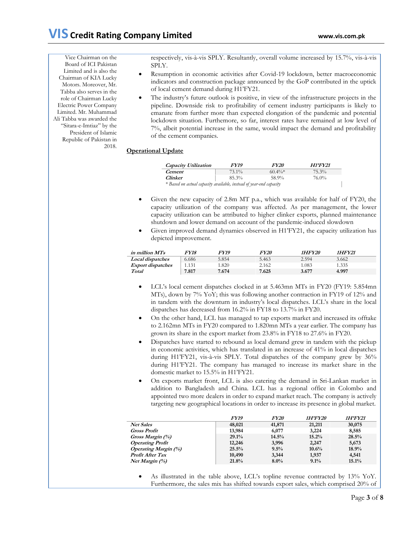Vice Chairman on the Board of ICI Pakistan Limited and is also the Chairman of KIA Lucky Motors. Moreover, Mr. Tabba also serves in the role of Chairman Lucky Electric Power Company Limited. Mr. Muhammad Ali Tabba was awarded the "Sitara-e-Imtiaz" by the President of Islamic Republic of Pakistan in 2018.

respectively, vis-à-vis SPLY. Resultantly, overall volume increased by 15.7%, vis-à-vis SPLY.

- Resumption in economic activities after Covid-19 lockdown, better macroeconomic indicators and construction package announced by the GoP contributed in the uptick of local cement demand during H1"FY21.
- The industry"s future outlook is positive, in view of the infrastructure projects in the pipeline. Downside risk to profitability of cement industry participants is likely to emanate from further more than expected elongation of the pandemic and potential lockdown situation. Furthemore, so far, interest rates have remained at low level of 7%, albeit potential increase in the same, would impact the demand and profitability of the cement companies.

## **Operational Update**

| Capacity Utilization                                               | <i>FY19</i> | <i>FY20</i>      | <b>H1'FY21</b> |  |  |  |
|--------------------------------------------------------------------|-------------|------------------|----------------|--|--|--|
| <i>Cement</i>                                                      | $73.1\%$    | $60\frac{40}{8}$ | 75.3%          |  |  |  |
| <b>Clinker</b>                                                     | 85.3%       | 58.9%            | $76.0\%$       |  |  |  |
| * Based on actual capacity available, instead of year-end capacity |             |                  |                |  |  |  |

- Given the new capacity of 2.8m MT p.a., which was available for half of FY20, the capacity utilization of the company was affected. As per management, the lower capacity utilization can be attributed to higher clinker exports, planned maintenance shutdown and lower demand on account of the pandemic-induced slowdown
- Given improved demand dynamics observed in H1"FY21, the capacity utilization has depicted improvement.

| in million MTs           | <i>FY18</i> | FY19  | FY20  | 1HFY20 | 1HFY21 |
|--------------------------|-------------|-------|-------|--------|--------|
| <b>Local dispatches</b>  | 6.686       | 5.854 | 5.463 | 2.594  | 3.662  |
| <b>Export dispatches</b> | 1.131       | .820  | 2.162 | 1.083  | 1.335  |
| Total                    | 7.817       | 7.674 | 7.625 | 3.677  | 4.997  |

- LCL"s local cement dispatches clocked in at 5.463mn MTs in FY20 (FY19: 5.854mn MTs), down by 7% YoY; this was following another contraction in FY19 of 12% and in tandem with the downturn in industry"s local dispatches. LCL"s share in the local dispatches has decreased from 16.2% in FY18 to 13.7% in FY20.
- On the other hand, LCL has managed to tap exports market and increased its offtake to 2.162mn MTs in FY20 compared to 1.820mn MTs a year earlier. The company has grown its share in the export market from 23.8% in FY18 to 27.6% in FY20.
- Dispatches have started to rebound as local demand grew in tandem with the pickup in economic activities, which has translated in an increase of 41% in local dispatches during H1"FY21, vis-à-vis SPLY. Total dispatches of the company grew by 36% during H1"FY21. The company has managed to increase its market share in the domestic market to 15.5% in H1"FY21.
- On exports market front, LCL is also catering the demand in Sri-Lankan market in addition to Bangladesh and China. LCL has a regional office in Colombo and appointed two more dealers in order to expand market reach. The company is actively targeting new geographical locations in order to increase its presence in global market.

|                                    | <i><b>FY19</b></i> | <b>FY20</b> | 1H'FY20 | 1H'FY21 |
|------------------------------------|--------------------|-------------|---------|---------|
| Net Sales                          | 48,021             | 41,871      | 21,211  | 30,075  |
| <b>Gross Profit</b>                | 13,984             | 6,077       | 3,224   | 8,585   |
| Gross Margin (%)                   | 29.1%              | $14.5\%$    | 15.2%   | 28.5%   |
| <b>Operating Profit</b>            | 12,246             | 3,996       | 2,247   | 5,673   |
| <i><b>Operating Margin (%)</b></i> | 25.5%              | $9.5\%$     | 10.6%   | 18.9%   |
| <b>Profit After Tax</b>            | 10,490             | 3,344       | 1,937   | 4,541   |
| Net Margin (%)                     | 21.8%              | $8.0\%$     | 9.1%    | 15.1%   |

 As illustrated in the table above, LCL"s topline revenue contracted by 13% YoY. Furthermore, the sales mix has shifted towards export sales, which comprised 20% of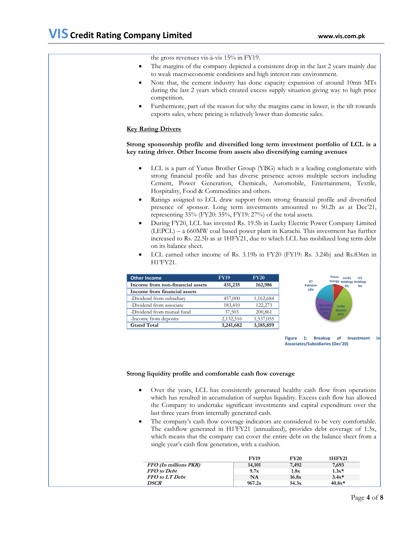the gross revenues vis-à-vis 15% in FY19. The margins of the company depicted a consistent drop in the last 2 years mainly due to weak macroeconomic conditions and high interest rate environment. Note that, the cement industry has done capacity expansion of around 10mn MTs during the last 2 years which created excess supply situation giving way to high price competition. Furthermore, part of the reason for why the margins came in lower, is the tilt towards exports sales, where pricing is relatively lower than domestic sales. **Key Rating Drivers Strong sponsorship profile and diversified long term investment portfolio of LCL is a key rating driver. Other Income from assets also diversifying earning avenues** LCL is a part of Yunus Brother Group (YBG) which is a leading conglomerate with strong financial profile and has diverse presence across multiple sectors including Cement, Power Generation, Chemicals, Automobile, Entertainment, Textile, Hospitality, Food & Commodities and others. Ratings assigned to LCL draw support from strong financial profile and diversified presence of sponsor. Long term investments amounted to 50.2b as at Dec'21, representing 35% (FY20: 35%, FY19: 27%) of the total assets. During FY20, LCL has invested Rs. 19.5b in Lucky Electric Power Company Limited (LEPCL) – a 660MW coal based power plant in Karachi. This investment has further increased to Rs. 22.5b as at 1HFY21, due to which LCL has mobilized long term debt on its balance sheet. LCL earned other income of Rs. 3.19b in FY20 (FY19: Rs. 3.24b) and Rs.836m in H1"FY21. **Other Income FY19 FY20 Income from non-financial assets 431,235 162,986 Income from financial assets** -Dividend from subsidiary 457,000 1,162,684 -Dividend from associate 183,410 122,273 -Dividend from mutual fund 37,503 200,861 -Income from deposits 2,132,516 1,537,055 **Grand Total 3,241,682 3,185,859 Lucky Holdings 0% LCL Holdings 9% Lucky Electric 45% Kia Lucky ICI Pakistan 19% Yunus Energy 1% Figure 1: Breakup of Investment Associates/Subsidiaries (Dec'20)**

## **Strong liquidity profile and comfortable cash flow coverage**

- Over the years, LCL has consistently generated healthy cash flow from operations which has resulted in accumulation of surplus liquidity. Excess cash flow has allowed the Company to undertake significant investments and capital expenditure over the last three years from internally generated cash.
- The company"s cash flow coverage indicators are considered to be very comfortable. The cashflow generated in H1"FY21 (annualized), provides debt coverage of 1.3x, which means that the company can cover the entire debt on the balance sheet from a single year's cash flow generation, with a cushion.

|                              | <b>FY19</b> | <b>FY20</b> | 1HFY21   |
|------------------------------|-------------|-------------|----------|
| FFO (In millions PKR)        | 14,101      | 7,492       | 7,693    |
| <b>FFO</b> to Debt           | 9.7x        | 1.8x        | $1.3x*$  |
| <b>FFO</b> to <b>LT</b> Debt | NΑ          | 16.8x       | $3.4x*$  |
| <b>DSCR</b>                  | 967.2x      | 54.3x       | $40.8x*$ |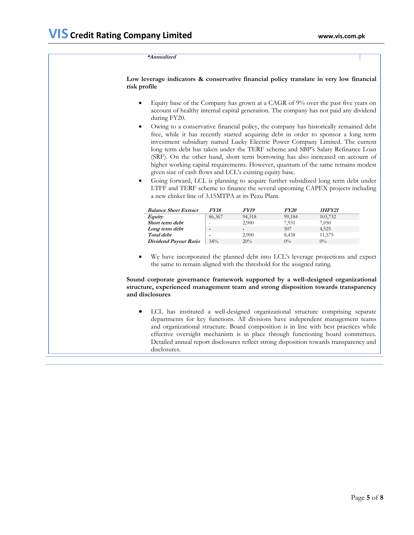#### **\*Annualized**

**Low leverage indicators & conservative financial policy translate in very low financial risk profile** 

- Equity base of the Company has grown at a CAGR of 9% over the past five years on account of healthy internal capital generation. The company has not paid any dividend during FY20.
- Owing to a conservative financial policy, the company has historically remained debt free, while it has recently started acquiring debt in order to sponsor a long term investment subsidiary named Lucky Electric Power Company Limited. The current long term debt has taken under the TERF scheme and SBP"s Salary Refinance Loan (SRF). On the other hand, short term borrowing has also increased on account of higher working capital requirements. However, quantum of the same remains modest given size of cash flows and LCL"s existing equity base.
- Going forward, LCL is planning to acquire further subsidized long term debt under LTFF and TERF scheme to finance the several upcoming CAPEX projects including a new clinker line of 3.15MTPA at its Pezu Plant.

| <b>Balance Sheet Extract</b> | <i>FY18</i> | <i><b>FY19</b></i> | <b>FY20</b> | 1HFY21  |
|------------------------------|-------------|--------------------|-------------|---------|
| Equity                       | 86,367      | 94,318             | 99,184      | 103,732 |
| Short term debt              |             | 2.900              | 7.931       | 7,050   |
| Long term debt               | $\,$        | -                  | 507         | 4,525   |
| Total debt                   | -           | 2.900              | 8.438       | 11,575  |
| Dividend Payout Ratio        | 34%         | 20%                | $0\%$       | $0\%$   |

 We have incorporated the planned debt into LCL"s leverage projections and expect the same to remain aligned with the threshold for the assigned rating.

### **Sound corporate governance framework supported by a well-designed organizational structure, experienced management team and strong disposition towards transparency and disclosures**

 LCL has instituted a well-designed organizational structure comprising separate departments for key functions. All divisions have independent management teams and organizational structure. Board composition is in line with best practices while effective oversight mechanism is in place through functioning board committees. Detailed annual report disclosures reflect strong disposition towards transparency and disclosures.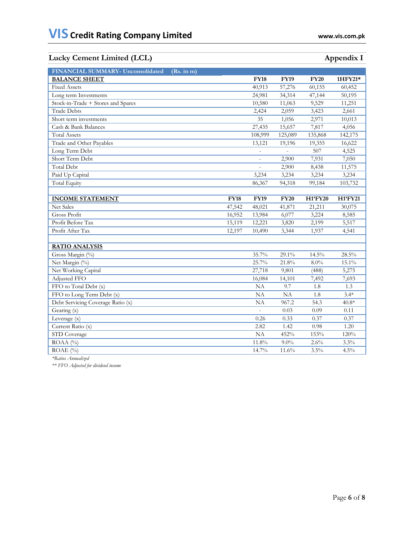## **Lucky Cement Limited (LCL)** Appendix I

| FINANCIAL SUMMARY- Unconsolidated<br>(Rs. in m) |             |             |             |             |          |
|-------------------------------------------------|-------------|-------------|-------------|-------------|----------|
| <b>BALANCE SHEET</b>                            |             | <b>FY18</b> | <b>FY19</b> | <b>FY20</b> | 1HFY21*  |
| <b>Fixed Assets</b>                             |             | 40,913      | 57,276      | 60,155      | 60,452   |
| Long term Investments                           |             | 24,981      | 34,314      | 47,144      | 50,195   |
| Stock-in-Trade + Stores and Spares              |             | 10,580      | 11,063      | 9,529       | 11,251   |
| <b>Trade Debts</b>                              |             | 2,424       | 2,059       | 3,423       | 2,661    |
| Short term investments                          |             | 35          | 1,056       | 2,971       | 10,013   |
| Cash & Bank Balances                            |             | 27,435      | 15,657      | 7,817       | 4,056    |
| <b>Total Assets</b>                             |             | 108,999     | 125,089     | 135,868     | 142,175  |
| Trade and Other Payables                        |             | 13,121      | 19,196      | 19,355      | 16,622   |
| Long Term Debt                                  |             |             |             | 507         | 4,525    |
| Short Term Debt                                 |             |             | 2,900       | 7,931       | 7,050    |
| <b>Total Debt</b>                               |             |             | 2,900       | 8,438       | 11,575   |
| Paid Up Capital                                 |             | 3,234       | 3,234       | 3,234       | 3,234    |
| <b>Total Equity</b>                             |             | 86,367      | 94,318      | 99,184      | 103,732  |
|                                                 |             |             |             |             |          |
| <b>INCOME STATEMENT</b>                         | <b>FY18</b> | <b>FY19</b> | <b>FY20</b> | H1'FY20     | H1'FY21  |
| Net Sales                                       | 47,542      | 48,021      | 41,871      | 21,211      | 30,075   |
| Gross Profit                                    | 16,952      | 13,984      | 6,077       | 3,224       | 8,585    |
| Profit Before Tax                               | 15,119      | 12,221      | 3,820       | 2,199       | 5,517    |
| Profit After Tax                                | 12,197      | 10,490      | 3,344       | 1,937       | 4,541    |
|                                                 |             |             |             |             |          |
| <b>RATIO ANALYSIS</b>                           |             |             |             |             |          |
| Gross Margin (%)                                |             | 35.7%       | 29.1%       | 14.5%       | 28.5%    |
| Net Margin (%)                                  |             | 25.7%       | 21.8%       | $8.0\%$     | $15.1\%$ |
| Net Working Capital                             |             | 27,718      | 9,801       | (488)       | 5,275    |
| Adjusted FFO                                    |             | 16,084      | 14,101      | 7,492       | 7,693    |
| FFO to Total Debt (x)                           |             | NA          | 9.7         | 1.8         | 1.3      |
| FFO to Long Term Debt (x)                       |             | NA          | NA          | 1.8         | $3.4*$   |
| Debt Servicing Coverage Ratio (x)               |             | NA          | 967.2       | 54.3        | $40.8*$  |
| Gearing (x)                                     |             |             | 0.03        | 0.09        | 0.11     |
| Leverage (x)                                    |             | 0.26        | 0.33        | 0.37        | 0.37     |
| Current Ratio (x)                               |             | 2.82        | 1.42        | 0.98        | 1.20     |
| STD Coverage                                    |             | NA          | 452%        | 153%        | 120%     |
| ROAA (%)                                        |             | 11.8%       | $9.0\%$     | 2.6%        | 3.3%     |
| ROAE (%)                                        |             | 14.7%       | 11.6%       | 3.5%        | 4.5%     |

*\*Ratios Annualized*

*\*\* FFO Adjusted for dividend income*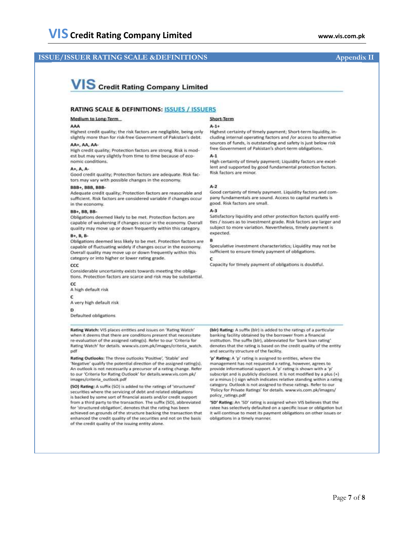## **ISSUE/ISSUER RATING SCALE &DEFINITIONS** Appendix II

## **VIS** Credit Rating Company Limited

#### **RATING SCALE & DEFINITIONS: ISSUES / ISSUERS**

#### Medium to Long-Term

#### AAA

Highest credit quality; the risk factors are negligible, being only slightly more than for risk-free Government of Pakistan's debt.

#### AA+, AA, AA

High credit quality: Protection factors are strong. Risk is modest but may vary slightly from time to time because of economic conditions.

#### A+, A, A-

Good credit quality; Protection factors are adequate. Risk factors may vary with possible changes in the economy.

#### **BBB+, BBB, BBB-**

Adequate credit quality; Protection factors are reasonable and sufficient. Risk factors are considered variable if changes occur in the economy.

#### **BB+, BB, BB-**

Obligations deemed likely to be met. Protection factors are capable of weakening if changes occur in the economy. Overall quality may move up or down frequently within this category.

#### B+, B, B-

Obligations deemed less likely to be met. Protection factors are capable of fluctuating widely if changes occur in the economy. Overall quality may move up or down frequently within this category or into higher or lower rating grade.

#### CCC

Considerable uncertainty exists towards meeting the obligations. Protection factors are scarce and risk may be substantial.

 $cc$ A high default risk c

A very high default risk

D

Defaulted obligations

Rating Watch: VIS places entities and issues on 'Rating Watch' when it deems that there are conditions present that necessitate re-evaluation of the assigned rating(s). Refer to our 'Criteria for Rating Watch' for details. www.vis.com.pk/images/criteria\_watch. pdf

Rating Outlooks: The three outlooks 'Positive', 'Stable' and 'Negative' qualify the potential direction of the assigned rating(s). An outlook is not necessarily a precursor of a rating change. Refer to our 'Criteria for Rating Outlook' for details.www.vis.com.pk/ images/criteria\_outlook.pdf

(SO) Rating: A suffix (SO) is added to the ratings of 'structured' securities where the servicing of debt and related obligations is backed by some sort of financial assets and/or credit support from a third party to the transaction. The suffix (SO), abbreviated for 'structured obligation', denotes that the rating has been achieved on grounds of the structure backing the transaction that enhanced the credit quality of the securities and not on the basis of the credit quality of the issuing entity alone.

## Short-Term

#### $A - 1 +$

Highest certainty of timely payment; Short-term liquidity, including internal operating factors and /or access to alternative sources of funds, is outstanding and safety is just below risk free Government of Pakistan's short-term obligations.

#### $A-1$

High certainty of timely payment; Liquidity factors are excellent and supported by good fundamental protection factors. Risk factors are minor.

#### $A-2$

Good certainty of timely payment. Liquidity factors and company fundamentals are sound. Access to capital markets is good. Risk factors are small.

#### $A-3$

Satisfactory liquidity and other protection factors qualify entities / issues as to investment erade. Risk factors are larger and subject to more variation. Nevertheless, timely payment is expected.

#### R

Speculative investment characteristics; Liquidity may not be sufficient to ensure timely payment of obligations.

## $\epsilon$

Capacity for timely payment of obligations is doubtful.

(bir) Rating: A suffix (bir) is added to the ratings of a particular banking facility obtained by the borrower from a financial institution. The suffix (blr), abbreviated for 'bank loan rating' denotes that the rating is based on the credit quality of the entity and security structure of the facility.

'p' Rating: A 'p' rating is assigned to entities, where the management has not requested a rating, however, agrees to provide informational support. A 'p' rating is shown with a 'p' subscript and is publicly disclosed. It is not modified by a plus (+) or a minus (-) sign which indicates relative standing within a rating category. Outlook is not assigned to these ratings. Refer to our 'Policy for Private Ratings' for details. www.vis.com.pk/images/ policy ratings.pdf

'SD' Rating: An 'SD' rating is assigned when VIS believes that the ratee has selectively defaulted on a specific issue or obligation but it will continue to meet its payment obligations on other issues or obligations in a timely manner.